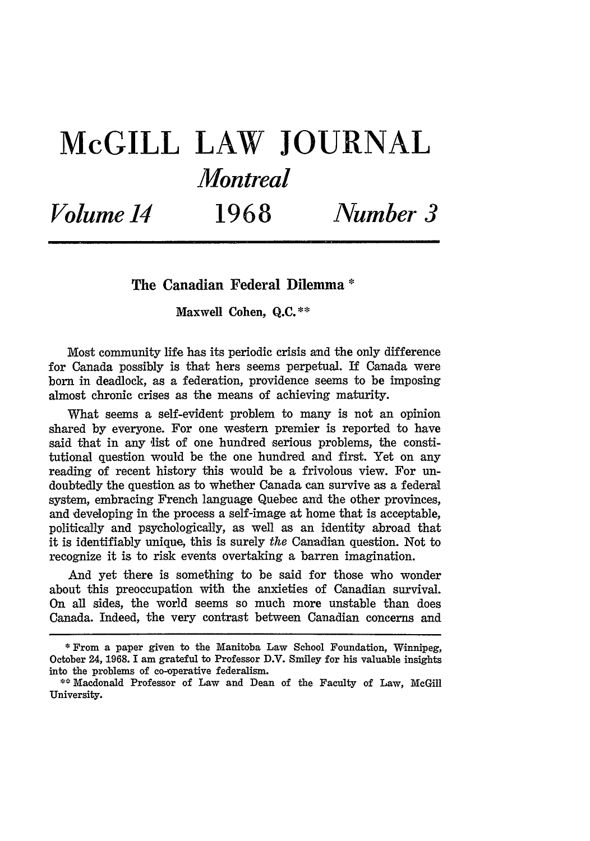# **McGILL LAW JOURNAL** *Montreal*

*Volume 14* **1968** *Number 3*

## **The Canadian Federal Dilemma \***

**Maxwell Cohen, Q.C.\*\***

Most community life has its periodic crisis and the only difference for Canada possibly is that hers seems perpetual. If Canada were born in deadlock, as a federation, providence seems to be imposing almost chronic crises as the means of achieving maturity.

What seems a self-evident problem to many is not an opinion shared by everyone. For one western premier is reported to have said that in any list of one hundred serious problems, the constitutional question would be the one hundred and first. Yet on any reading of recent history this would be a frivolous view. For undoubtedly the question as to whether Canada can survive as a federal system, embracing French language Quebec and the other provinces, and developing in the process a self-image at home that is acceptable, politically and psychologically, as well as an identity abroad that it is identifiably unique, this is surely *the* Canadian question. Not to recognize it is to risk events overtaking a barren imagination.

And yet there is something to be said for those who wonder about this preoccupation with the anxieties of Canadian survival. On all sides, the world seems so much more unstable than does Canada. Indeed, the very contrast between Canadian concerns and

<sup>\*</sup> From a paper given to the Manitoba Law School Foundation, Winnipeg, October 24, 1968. I am grateful to Professor D.V. Smiley for his valuable insights into the problems of co-operative federalism.

<sup>\*\*</sup>Macdonald Professor of Law and Dean of the Faculty of Law, McGill University.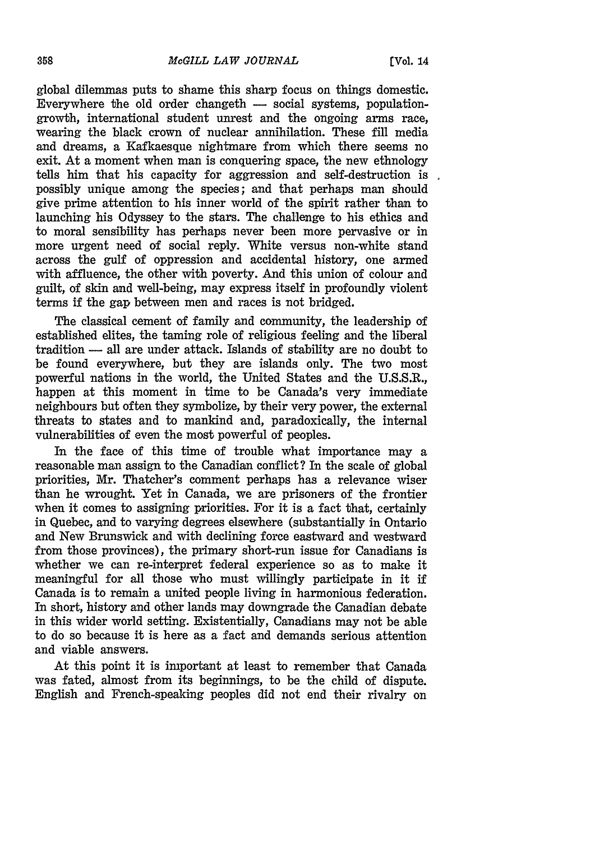global dilemmas puts to shame this sharp focus on things domestic. Everywhere the old order changeth  $-$  social systems, populationgrowth, international student unrest and the ongoing arms race, wearing the black crown of nuclear annihilation. These fill media and dreams, a Kafkaesque nightmare from which there seems no exit. At a moment when man is conquering space, the new ethnology tells him that his capacity for aggression and self-destruction is possibly unique among the species; and that perhaps man should give prime attention to his inner world of the spirit rather than to launching his Odyssey to the stars. The challenge to his ethics and to moral sensibility has perhaps never been more pervasive or in more urgent need of social reply. White versus non-white stand across the gulf of oppression and accidental history, one armed with affluence, the other with poverty. And this union of colour and guilt, of skin and well-being, may express itself in profoundly violent terms if the gap between men and races is not bridged.

The classical cement of family and community, the leadership of established elites, the taming role of religious feeling and the liberal tradition **-** all are under attack. Islands of stability are no doubt to be found everywhere, but they are islands only. The two most powerful nations in the world, the United States and the U.S.S.R., happen at this moment in time to be Canada's very immediate neighbours but often they symbolize, by their very power, the external threats to states and to mankind and, paradoxically, the internal vulnerabilities of even the most powerful of peoples.

In the face of this time of trouble what importance may a reasonable man assign to the Canadian conflict? In the scale of global priorities, Mr. Thatcher's comment perhaps has a relevance wiser than he wrought. Yet in Canada, we are prisoners of the frontier when it comes to assigning priorities. For it is a fact that, certainly in Quebec, and to varying degrees elsewhere (substantially in Ontario and New Brunswick and with declining force eastward and westward from those provinces), the primary short-run issue for Canadians is whether we can re-interpret federal experience so as to make it meaningful for all those who must willingly participate in it if Canada is to remain a united people living in harmonious federation. In short, history and other lands may downgrade the Canadian debate in this wider world setting. Existentially, Canadians may not be able to do so because it is here as a fact and demands serious attention and viable answers.

At this point it is important at least to remember that Canada was fated, almost from its beginnings, to be the child of dispute. English and French-speaking peoples did not end their rivalry on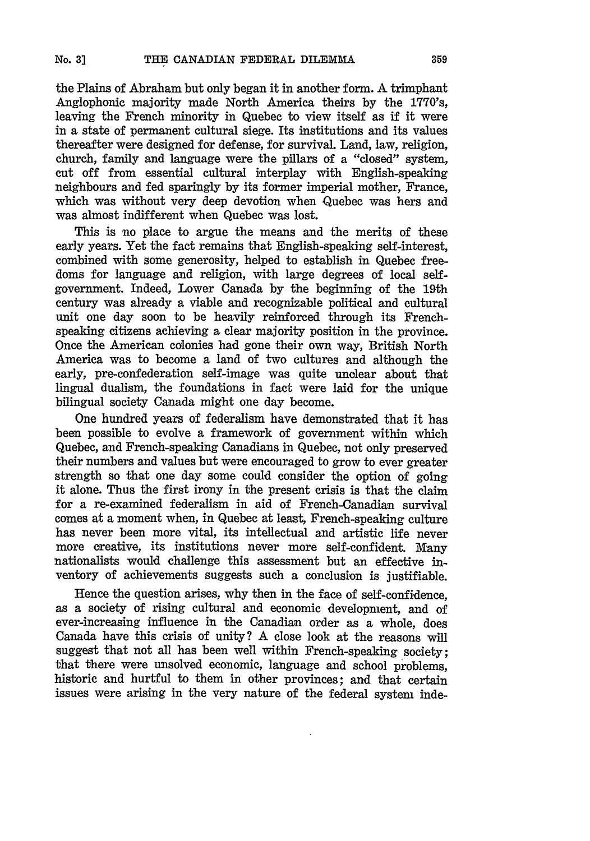the Plains of Abraham but only began it in another form. A trimphant Anglophonic majority made North America theirs by the 1770's, leaving the French minority in Quebec to view itself as if it were in a state of permanent cultural siege. Its institutions and its values thereafter were designed for defense, for survival. Land, law, religion, church, family and language were the pillars of a "closed" system, cut off from essential cultural interplay with English-speaking neighbours and fed sparingly by its former imperial mother, France, which was without very deep devotion when Quebec was hers and was almost indifferent when Quebec was lost.

This is no place to argue the means and the merits of these early years. Yet the fact remains that English-speaking self-interest, combined with some generosity, helped to establish in Quebec freedoms for language and religion, with large degrees of local selfgovernment. Indeed, Lower Canada by the beginning of the 19th century was already a viable and recognizable political and cultural unit one day soon to be heavily reinforced through its Frenchspeaking citizens achieving a clear majority position in the province. Once the American colonies had gone their own way, British North America was to become a land of two cultures and although the early, pre-confederation self-image was quite unclear about that lingual dualism, the foundations in fact were laid for the unique bilingual society Canada might one day become.

One hundred years of federalism have demonstrated that it has been possible to evolve a framework of government within which Quebec, and French-speaking Canadians in Quebec, not only preserved their numbers and values but were encouraged to grow to ever greater strength so that one day some could consider the option of going it alone. Thus the first irony in the present crisis is that the claim for a re-examined federalism in aid of French-Canadian survival comes at a moment when, in Quebec at least, French-speaking culture has never been more vital, its intellectual and artistic life never more creative, its institutions never more self-confident. Many nationalists would challenge this assessment but an effective inventory of achievements suggests such a conclusion is justifiable.

Hence the question arises, why then in the face of self-confidence, as a society of rising cultural and economic development, and of ever-increasing influence in the Canadian order as a whole, does Canada have this crisis of unity? A close look at the reasons will suggest that not all has been well within French-speaking society; that there were unsolved economic, language and school problems, historic and hurtful to them in other provinces; and that certain issues were arising in the very nature of the federal system inde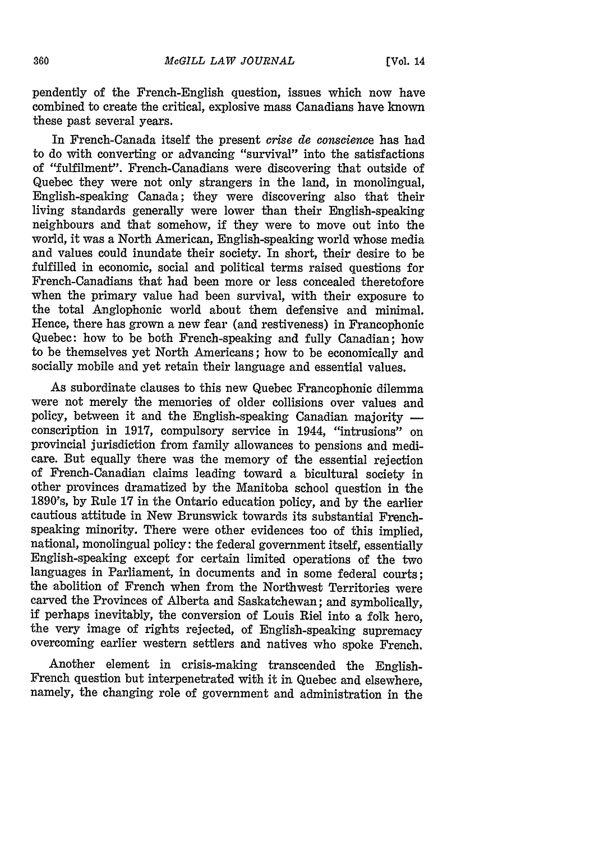pendently of the French-English question, issues which now have combined to create the critical, explosive mass Canadians have known these past several years.

In French-Canada itself the present *crise de conscience* has had to do with converting or advancing "survival" into the satisfactions of "fulfilment". French-Canadians were discovering that outside of Quebec they were not only strangers in the land, in monolingual, English-speaking Canada; they were discovering also that their living standards generally were lower than their English-speaking neighbours and that somehow, if they were to move out into the world, it was a North American, English-speaking world whose media and values could inundate their society. In short, their desire to be fulfilled in economic, social and political terms raised questions for French-Canadians that had been more or less concealed theretofore when the primary value had been survival, with their exposure to the total Anglophonic world about them defensive and minimal. Hence, there has grown a new fear (and restiveness) in Francophonic Quebec: how to be both French-speaking and fully Canadian; how to be themselves yet North Americans; how to be economically and socially mobile and yet retain their language and essential values.

As subordinate clauses to this new Quebec Francophonic dilemma were not merely the memories of older collisions over values and policy, between it and the English-speaking Canadian majority  conscription in 1917, compulsory service in 1944, "intrusions" on provincial jurisdiction from family allowances to pensions and medicare. But equally there was the memory of the essential rejection of French-Canadian claims leading toward a bicultural society in other provinces dramatized by the Manitoba school question in the 1890's, by Rule 17 in the Ontario education policy, and by the earlier cautious attitude in New Brunswick towards its substantial Frenchspeaking minority. There were other evidences too of this implied, national, monolingual policy: the federal government itself, essentially English-speaking except for certain limited operations of the two languages in Parliament, in documents and in some federal courts: the abolition of French when from the Northwest Territories were carved the Provinces of Alberta and Saskatchewan; and symbolically, if perhaps inevitably, the conversion of Louis Riel into a folk hero, the very image of rights rejected, of English-speaking supremacy overcoming earlier western settlers and natives who spoke French.

Another element in crisis-making transcended the English-French question but interpenetrated with it in Quebec and elsewhere, namely, the changing role of government and administration in the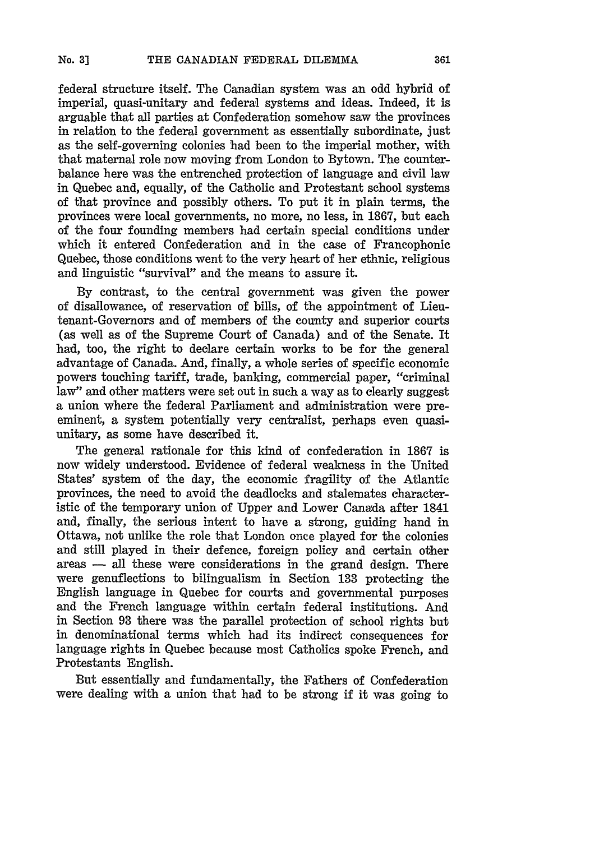federal structure itself. The Canadian system was an odd hybrid of imperial, quasi-unitary and federal systems and ideas. Indeed, it is arguable that all parties at Confederation somehow saw the provinces in relation to the federal government as essentially subordinate, just as the self-governing colonies had been to the imperial mother, with that maternal role now moving from London to Bytown. The counterbalance here was the entrenched protection of language and civil law in Quebec and, equally, of the Catholic and Protestant school systems of that province and possibly others. To put it in plain terms, the provinces were local governments, no more, no less, in 1867, but each of the four founding members had certain special conditions under which it entered Confederation and in the case of Francophonic Quebec, those conditions went to the very heart of her ethnic, religious and linguistic "survival" and the means to assure it.

By contrast, to the central government was given the power of disallowance, of reservation of bills, of the appointment of Lieutenant-Governors and of members of the county and superior courts (as well as of the Supreme Court of Canada) and of the Senate. It had, too, the right to declare certain works to be for the general advantage of Canada. And, finally, a whole series of specific economic powers touching tariff, trade, banking, commercial paper, "criminal law" and other matters were set out in such a way as to clearly suggest a union where the federal Parliament and administration were preeminent, a system potentially very centralist, perhaps even quasiunitary, as some have described it.

The general rationale for this kind of confederation in 1867 is now widely understood. Evidence of federal weakness in the United States' system of the day, the economic fragility of the Atlantic provinces, the need to avoid the deadlocks and stalemates characteristic of the temporary union of Upper and Lower Canada after 1841 and, finally, the serious intent to have a strong, guiding hand in Ottawa, not unlike the role that London once played for the colonies and still played in their defence, foreigm policy and certain other areas - all these were considerations in the grand design. There were genuflections to bilingualism in Section 133 protecting the English language in Quebec for courts and governmental purposes and the French language within certain federal institutions. And in Section 93 there was the parallel protection of school rights but in denominational terms which had its indirect consequences for language rights in Quebec because most Catholics spoke French, and Protestants English.

But essentially and fundamentally, the Fathers of Confederation were dealing with a union that had to be strong if it was going to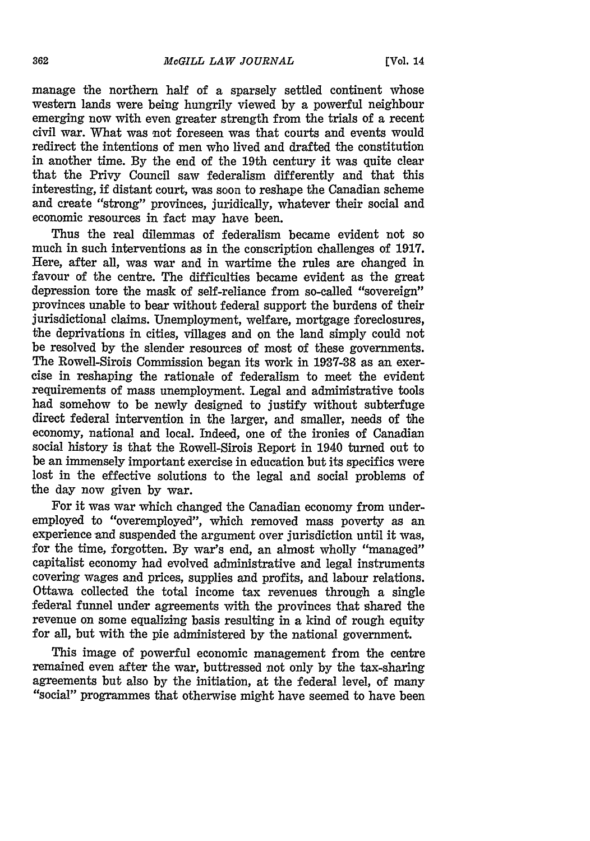manage the northern half of a sparsely settled continent whose western lands were being hungrily viewed by a powerful neighbour emerging now with even greater strength from the trials of a recent civil war. What was not foreseen was that courts and events would redirect the intentions of men who lived and drafted the constitution in another time. By the end of the 19th century it was quite clear that the Privy Council saw federalism differently and that this interesting, if distant court, was soon to reshape the Canadian scheme and create "strong" provinces, juridically, whatever their social and economic resources in fact may have been.

Thus the real dilemmas of federalism became evident not so much in such interventions as in the conscription challenges of 1917. Here, after all, was war and in wartime the rules are changed in favour of the centre. The difficulties became evident as the great depression tore the mask of self-reliance from so-called "sovereign" provinces unable to bear without federal support the burdens of their jurisdictional claims. Unemployment, welfare, mortgage foreclosures, the deprivations in cities, villages and on the land simply could not be resolved by the slender resources of most of these governments. The Rowell-Sirois Commission began its work in 1937-38 as an exercise in reshaping the rationale of federalism to meet the evident requirements of mass unemployment. Legal and administrative tools had somehow to be newly designed to justify without subterfuge direct federal intervention in the larger, and smaller, needs of the economy, national and local. Indeed, one of the ironies of Canadian social history is that the Rowell-Sirois Report in 1940 turned out to be an immensely important exercise in education but its specifics were lost in the effective solutions to the legal and social problems of the day now given by war.

For it was war which changed the Canadian economy from underemployed to "overemployed", which removed mass poverty as an experience and suspended the argument over jurisdiction until it was, for the time, forgotten. By war's end, an almost wholly "managed" capitalist economy had evolved administrative and legal instruments covering wages and prices, supplies and profits, and labour relations. Ottawa collected the total income tax revenues through a single federal funnel under agreements with the provinces that shared the revenue on some equalizing basis resulting in a kind of rough equity for all, but with the pie administered by the national government.

This image of powerful economic management from the centre remained even after the war, buttressed not only by the tax-sharing agreements but also by the initiation, at the federal level, of many "social" programmes that otherwise might have seemed to have been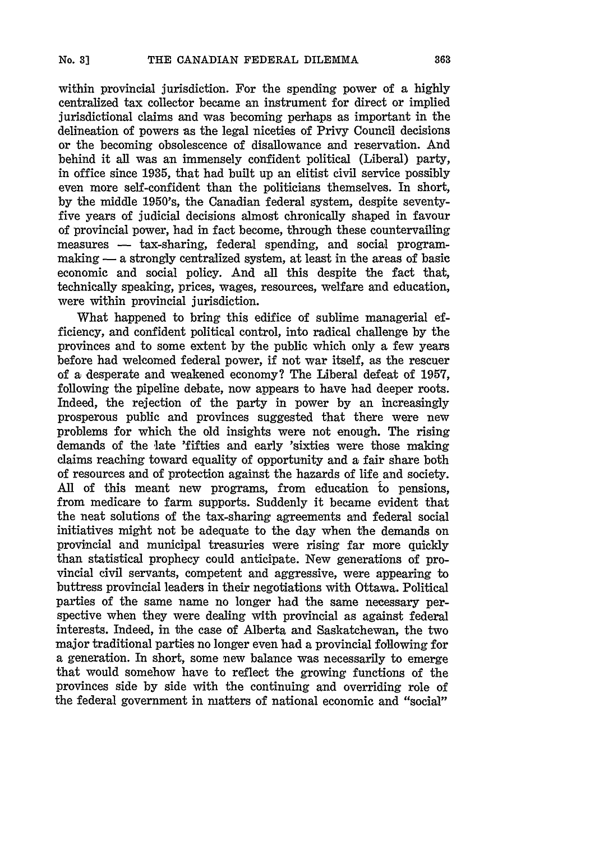within provincial jurisdiction. For the spending power of a highly centralized tax collector became an instrument for direct or implied jurisdictional claims and was becoming perhaps as important in the delineation of powers as the legal niceties of Privy Council decisions or the becoming obsolescence of disallowance and reservation. And behind it all was an immensely confident political (Liberal) party, in office since **1935,** that had built up an elitist civil service possibly even more self-confident than the politicians themselves. In short, **by** the middle 1950's, the Canadian federal system, despite seventyfive years of judicial decisions almost chronically shaped in favour of provincial power, had in fact become, through these countervailing measures - tax-sharing, federal spending, and social programmaking - a strongly centralized system, at least in the areas of basic economic and social policy. And all this despite the fact that, technically speaking, prices, wages, resources, welfare and education, were within provincial jurisdiction.

What happened to bring this edifice of sublime managerial efficiency, and confident political control, into radical challenge **by** the provinces and to some extent **by** the public which only a few years before had welcomed federal power, if not war itself, as the rescuer of a desperate and weakened economy? The Liberal defeat of **1957,** following the pipeline debate, now appears to have had deeper roots. Indeed, the rejection of the party in power **by** an increasingly prosperous public and provinces suggested that there were new problems for which the old insights were not enough. The rising demands of the late 'fifties and early 'sixties were those making claims reaching toward equality of opportunity and a fair share both of resources and of protection against the hazards of life and society. **All** of this meant new programs, from education to pensions, from medicare to farm supports. Suddenly it became evident that the neat solutions of the tax-sharing agreements and federal social initiatives might not be adequate to the day when the demands on provincial and municipal treasuries were rising far more quickly than statistical prophecy could anticipate. New generations of provincial civil servants, competent and aggressive, were appearing to buttress provincial leaders in their negotiations with Ottawa. Political parties of the same name no longer had the same necessary perspective when they were dealing with provincial as against federal interests. Indeed, in the case of Alberta and Saskatchewan, the two major traditional parties no longer even had a provincial following for a generation. In short, some new balance was necessarily to emerge that would somehow have to reflect the growing functions of the provinces side **by** side with the continuing and overriding role of the federal government in matters of national economic and "social"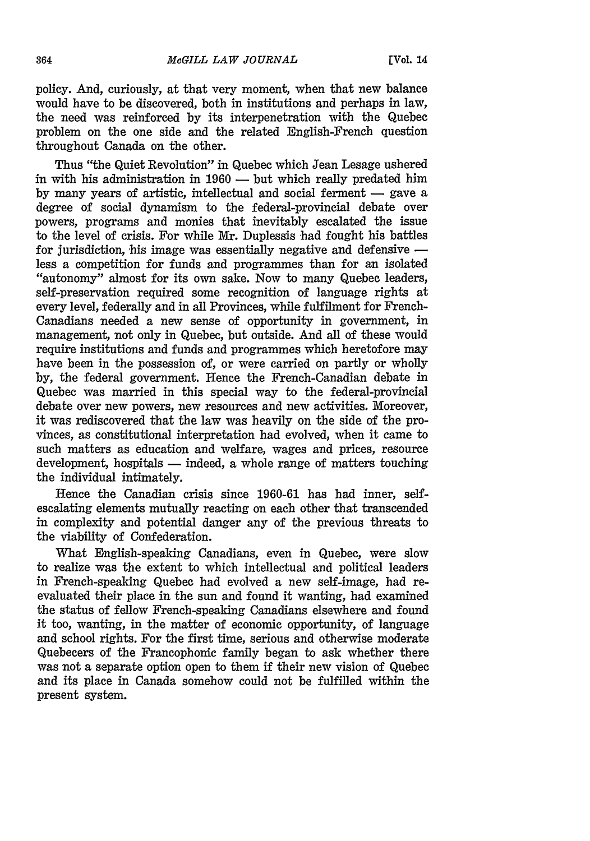policy. And, curiously, at that very moment, when that new balance would have to be discovered, both in institutions and perhaps in law, the need was reinforced by its interpenetration with the Quebec problem on the one side and the related English-French question throughout Canada on the other.

Thus "the Quiet Revolution" in Quebec which Jean Lesage ushered in with his administration in  $1960$  — but which really predated him by many years of artistic, intellectual and social ferment **-** gave a degree of social dynamism to the federal-provincial debate over powers, programs and monies that inevitably escalated the issue to the level of crisis. For while Mr. Duplessis had fought his battles for jurisdiction, his image was essentially negative and defensive  $$ less a competition for funds and programmes than for an isolated "autonomy" almost for its own sake. Now to many Quebec leaders, self-preservation required some recognition of language rights at every level, federally and in all Provinces, while fulfilment for French-Canadians needed a new sense of opportunity in government, in management, not only in Quebec, but outside. And all of these would require institutions and funds and programmes which heretofore may have been in the possession of, or were carried on partly or wholly by, the federal government. Hence the French-Canadian debate in Quebec was married in this special way to the federal-provincial debate over new powers, new resources and new activities. Moreover, it was rediscovered that the law was heavily on the side of the provinces, as constitutional interpretation had evolved, when it came to such matters as education and welfare, wages and prices, resource development, hospitals **-** indeed, a whole range of matters touching the individual intimately.

Hence the Canadian crisis since **1960-61** has had inner, selfescalating elements mutually reacting on each other that transcended in complexity and potential danger any of the previous threats to the viability of Confederation.

What English-speaking Canadians, even in Quebec, were slow to realize was the extent to which intellectual and political leaders in French-speaking Quebec had evolved a new self-image, had reevaluated their place in the sun and found it wanting, had examined the status of fellow French-speaking Canadians elsewhere and found it too, wanting, in the matter of economic opportunity, of language and school rights. For the first time, serious and otherwise moderate Quebecers of the Francophonic family began to ask whether there was not a separate option open to them if their new vision of Quebec and its place in Canada somehow could not be fulfilled within the present system.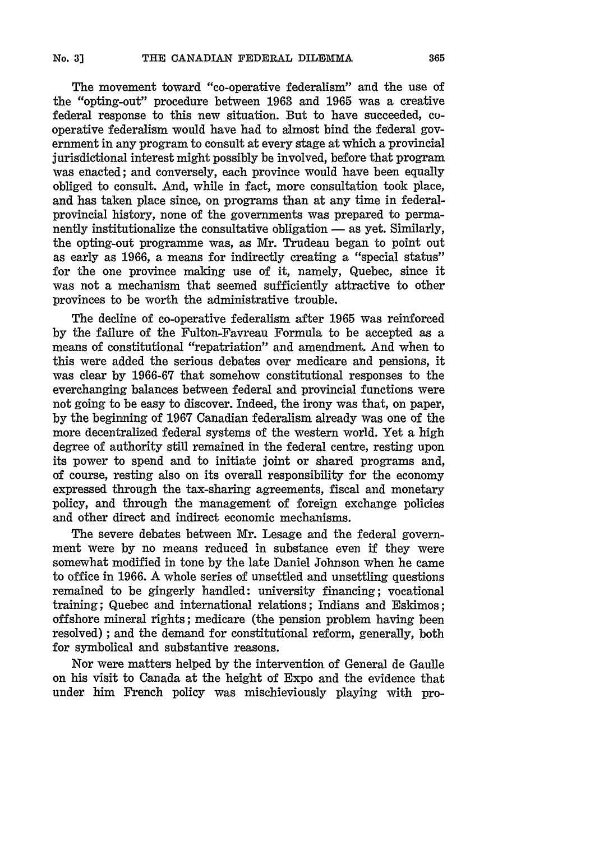The movement toward "co-operative federalism" and the use of the "opting-out" procedure between 1963 and 1965 was a creative federal response to this new situation. But to have succeeded, cooperative federalism would have had to almost bind the federal government in any program to consult at every stage at which a provincial jurisdictional interest might possibly be involved, before that program was enacted; and conversely, each province would have been equally obliged to consult. And, while in fact, more consultation took place, and has taken place since, on programs than at any time in federalprovincial history, none of the governments was prepared to permanently institutionalize the consultative obligation  $\equiv$  as yet. Similarly, the opting-out programme was, as Mr. Trudeau began to point out as early as 1966, a means for indirectly creating a "special status" for the one province making use of it, namely, Quebec, since it was not a mechanism that seemed sufficiently attractive to other provinces to be worth the administrative trouble.

The decline of co-operative federalism after 1965 was reinforced by the failure of the Fulton-Favreau Formula to be accepted as a means of constitutional "repatriation" and amendment. And when to this were added the serious debates over medicare and pensions, it was clear by 1966-67 that somehow constitutional responses to the everchanging balances between federal and provincial functions were not going to be easy to discover. Indeed, the irony was that, on paper, by the beginning of 1967 Canadian federalism already was one of the more decentralized federal systems of the western world. Yet a high degree of authority still remained in the federal centre, resting upon its power to spend and to initiate joint or shared programs and, of course, resting also on its overall responsibility for the economy expressed through the tax-sharing agreements, fiscal and monetary policy, and through the management of foreign exchange policies and other direct and indirect economic mechanisms.

The severe debates between Mr. Lesage and the federal government were by no means reduced in substance even if they were somewhat modified in tone by the late Daniel Johnson when he came to office in 1966. A whole series of unsettled and unsettling questions remained to be gingerly handled: university financing; vocational training; Quebec and international relations; Indians and Eskimos; offshore mineral rights; medicare (the pension problem having been resolved) ; and the demand for constitutional reform, generally, both for symbolical and substantive reasons.

Nor were matters helped by the intervention of General de Gaulle on his visit to Canada at the height of Expo and the evidence that under him French policy was mischieviously playing with pro-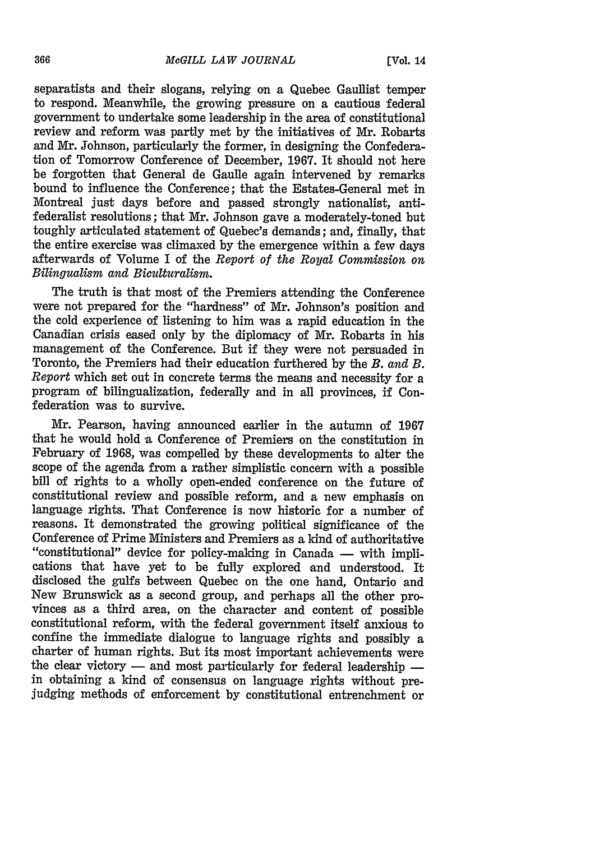separatists and their slogans, relying on a Quebec Gaullist temper to respond. Meanwhile, the growing pressure on a cautious federal government to undertake some leadership in the area of constitutional review and reform was partly met **by** the initiatives of Mr. Robarts and Mr. Johnson, particularly the former, in designing the Confederation of Tomorrow Conference of December, **1967.** It should not here be forgotten that General de Gaulle again intervened **by** remarks bound to influence the Conference; that the Estates-General met in Montreal just days before and passed strongly nationalist, antifederalist resolutions; that Mr. Johnson gave a moderately-toned but toughly articulated statement of Quebec's demands; and, finally, that the entire exercise was climaxed **by** the emergence within a few days afterwards of Volume I of the *Report of the Royal Commission on Bilingualism and Biculturalism.*

The truth is that most of the Premiers attending the Conference were not prepared for the "hardness" of Mr. Johnson's position and the cold experience of listening to him was a rapid education in the Canadian crisis eased only by the diplomacy of Mr. Robarts in his management of the Conference. But if they were not persuaded in Toronto, the Premiers had their education furthered by the *B. and B. Report* which set out in concrete terms the means and necessity for a program of bilingualization, federally and in all provinces, if Confederation was to survive.

Mr. Pearson, having announced earlier in the autumn of 1967 that he would hold **a** Conference of Premiers on the constitution in February of 1968, was compelled by these developments to alter the scope of the agenda from a rather simplistic concern with a possible bill of rights to a wholly open-ended conference on the future **of** constitutional review and possible reform, and a new emphasis on language rights. That Conference is now historic for a number of reasons. It demonstrated the growing political significance of the Conference of Prime Ministers and Premiers as a kind of authoritative "constitutional" device for policy-making in Canada **-** with implications that have yet to be fully explored and understood. It disclosed the gulfs between Quebec on the one hand, Ontario and New Brunswick as a second group, and perhaps all the other provinces as a third area, on the character and content of possible constitutional reform, with the federal government itself anxious to confine the immediate dialogue to language rights and possibly a charter of human rights. But its most important achievements were the clear victory **-** and most particularly for federal leadership  in obtaining a kind of consensus on language rights without prejudging methods of enforcement by constitutional entrenchment or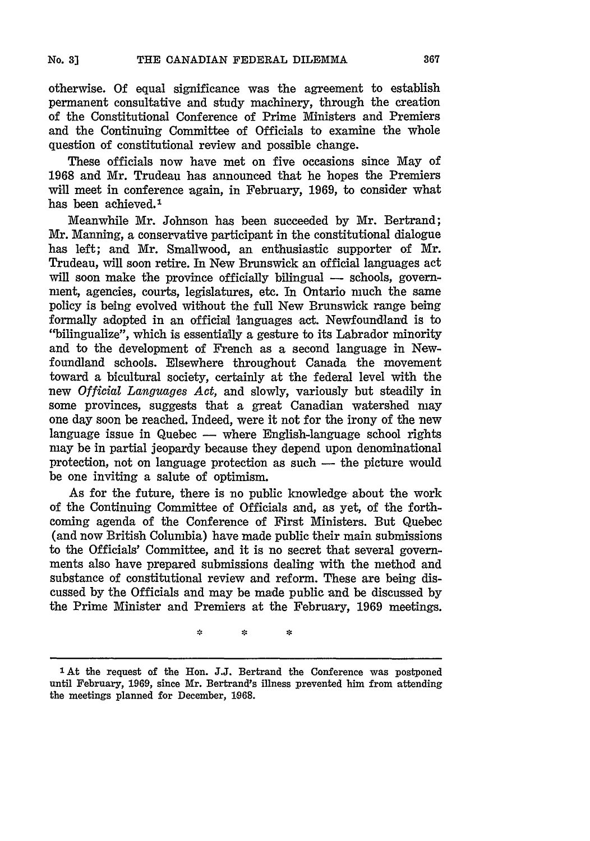otherwise. Of equal significance was the agreement to establish permanent consultative and study machinery, through the creation of the Constitutional Conference of Prime Ministers and Premiers and the Continuing Committee of Officials to examine the whole question of constitutional review and possible change.

These officials now have met on five occasions since May of 1968 and Mr. Trudeau has announced that he hopes the Premiers will meet in conference again, in February, 1969, to consider what has been achieved.<sup>1</sup>

Meanwhile Mr. Johnson has been succeeded by Mr. Bertrand; Mr. Manning, a conservative participant in the constitutional dialogue has left; and Mr. Smallwood, an enthusiastic supporter of Mr. Trudeau, will soon retire. In New Brunswick an official languages act will soon make the province officially bilingual  $-$  schools, government, agencies, courts, legislatures, etc. In Ontario much the same policy is being evolved without the full New Brunswick range being formally adopted in an official 'languages act. Newfoundland is to "bilingualize", which is essentially a gesture to its Labrador minority and to the development of French as a second language in Newfoundland schools. Elsewhere throughout Canada the movement toward a bicultural society, certainly at the federal level with the new *Official Languages Act,* and slowly, variously but steadily in some provinces, suggests that a great Canadian watershed may one day soon be reached. Indeed, were it not for the irony of the new language issue in Quebec — where English-language school rights may be in partial jeopardy because they depend upon denominational protection, not on language protection as such - the picture would be one inviting a salute of optimism.

As for the future, there is no public knowledge about the work of the Continuing Committee of Officials and, as yet, of the forthcoming agenda of the Conference of First Ministers. But Quebec (and now British Columbia) have made public their main submissions to the Officials' Committee, and it is no secret that several governments also have prepared submissions dealing with the method and substance of constitutional review and reform. These are being discussed by the Officials and may be made public and be discussed by the Prime Minister and Premiers at the February, 1969 meetings.

会

÷

**<sup>1</sup>** At the request of the Hon. **J.J.** Bertrand the Conference was postponed until February, 1969, since Mr. Bertrand's illness prevented him from attending the meetings planned for December, **1968.**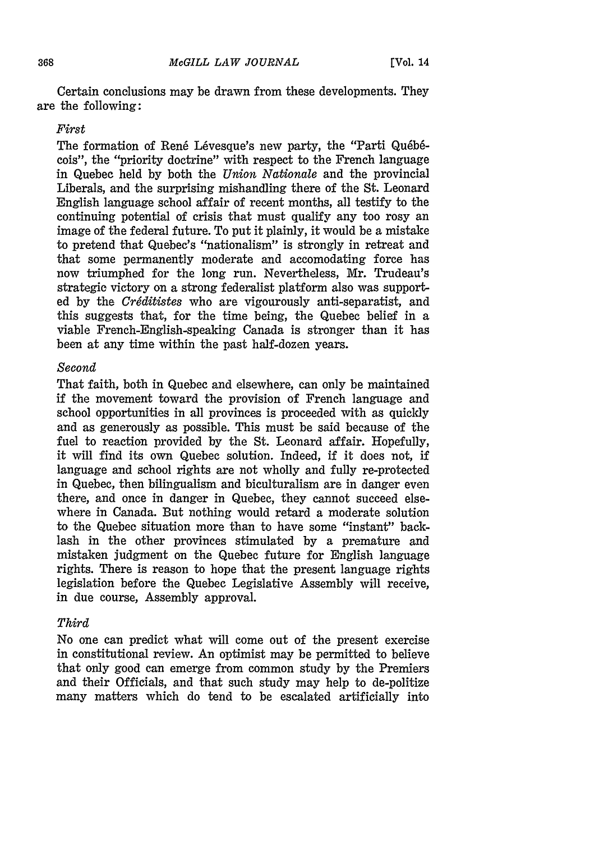Certain conclusions may be drawn from these developments. They are the following:

#### *First*

The formation of René Lévesque's new party, the "Parti Québécois", the "priority doctrine" with respect to the French language in Quebec held by both the *Union Nationale* and the provincial Liberals, and the surprising mishandling there of the St. Leonard English language school affair of recent months, all testify to the continuing potential of crisis that must qualify any too rosy an image of the federal future. To put it plainly, it would be a mistake to pretend that Quebec's "nationalism" is strongly in retreat and that some permanently moderate and accomodating force has now triumphed for the long run. Nevertheless, Mr. Trudeau's strategic victory on a strong federalist platform also was supported by the *Crdditistes* who are vigourously anti-separatist, and this suggests that, for the time being, the Quebec belief in a viable French-English-speaking Canada is stronger than it has been at any time within the past half-dozen years.

#### *Second*

That faith, both in Quebec and elsewhere, can only be maintained if the movement toward the provision of French language and school opportunities in all provinces is proceeded with as quickly and as generously as possible. This must be said because of the fuel to reaction provided by the St. Leonard affair. Hopefully, it will find its own Quebec solution. Indeed, if it does not, if language and school rights are not wholly and fully re-protected in Quebec, then bilingualism and biculturalism are in danger even there, and once in danger in Quebec, they cannot succeed elsewhere in Canada. But nothing would retard a moderate solution to the Quebec situation more than to have some "instant" backlash in the other provinces stimulated by a premature and mistaken judgment on the Quebec future for English language rights. There is reason to hope that the present language rights legislation before the Quebec Legislative Assembly will receive, in due course, Assembly approval.

#### *Third*

No one can predict what will come out of the present exercise in constitutional review. An optimist may be permitted to believe that only good can emerge from common study by the Premiers and their Officials, and that such study may help to de-politize many matters which do tend to be escalated artificially into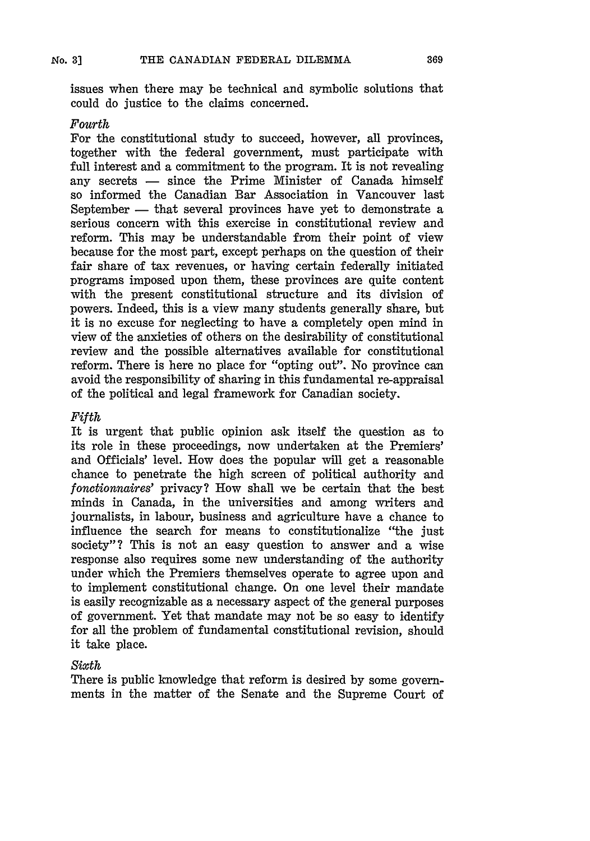issues when there may be technical and symbolic solutions that could do justice to the claims concerned.

#### *Fourth*

For the constitutional study to succeed, however, all provinces, together with the federal government, must participate with full interest and a commitment to the program. It is not revealing any secrets  $-$  since the Prime Minister of Canada himself so informed the Canadian Bar Association in Vancouver last September – that several provinces have yet to demonstrate a serious concern with this exercise in constitutional review and reform. This may be understandable from their point of view because for the most part, except perhaps on the question of their fair share of tax revenues, or having certain federally initiated programs imposed upon them, these provinces are quite content with the present constitutional structure and its division of powers. Indeed, this is a view many students generally share, but it is no excuse for neglecting to have a completely open mind in view of the anxieties of others on the desirability of constitutional review and the possible alternatives available for constitutional reform. There is here no place for "opting out". No province can avoid the responsibility of sharing in this fundamental re-appraisal of the political and legal framework for Canadian society.

#### *Fifth*

It is urgent that public opinion ask itself the question as to its role in these proceedings, now undertaken at the Premiers' and Officials' level. How does the popular will get a reasonable chance to penetrate the high screen of political authority and *fonetionnaires'* privacy? How shall we be certain that the best minds in Canada, in the universities and among writers and journalists, in labour, business and agriculture have a chance to influence the search for means to constitutionalize "the just society"? This is not an easy question to answer and a wise response also requires some new understanding of the authority under which the Premiers themselves operate to agree upon and to implement constitutional change. On one level their mandate is easily recognizable as a necessary aspect of the general purposes of government. Yet that mandate may not be so easy to identify for all the problem of fundamental constitutional revision, should it take place.

### *Sixth*

There is public knowledge that reform is desired by some governments in the matter of the Senate and the Supreme Court of